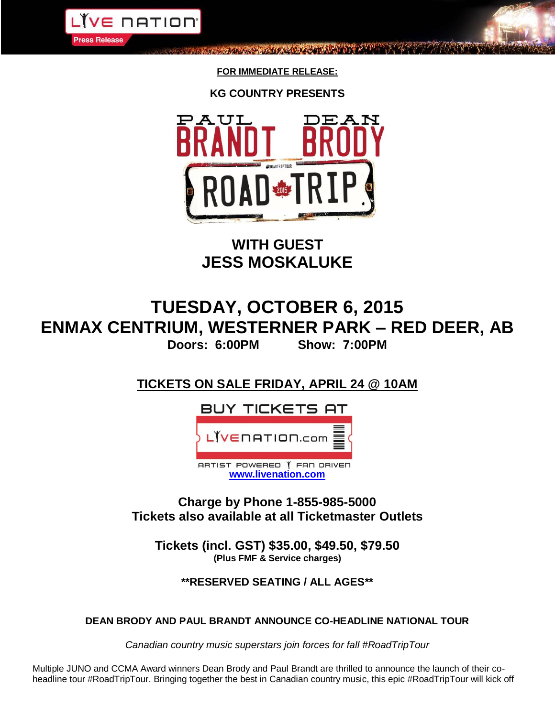

**FOR IMMEDIATE RELEASE:**

BUCK ARTICLE OF THE REPORT OF

**KG COUNTRY PRESENTS**



**WITH GUEST JESS MOSKALUKE**

# **TUESDAY, OCTOBER 6, 2015 ENMAX CENTRIUM, WESTERNER PARK – RED DEER, AB Doors: 6:00PM Show: 7:00PM**

**TICKETS ON SALE FRIDAY, APRIL 24 @ 10AM**



**Charge by Phone 1-855-985-5000 Tickets also available at all Ticketmaster Outlets**

**Tickets (incl. GST) \$35.00, \$49.50, \$79.50 (Plus FMF & Service charges)**

# **\*\*RESERVED SEATING / ALL AGES\*\***

## **DEAN BRODY AND PAUL BRANDT ANNOUNCE CO-HEADLINE NATIONAL TOUR**

*Canadian country music superstars join forces for fall #RoadTripTour*

Multiple JUNO and CCMA Award winners Dean Brody and Paul Brandt are thrilled to announce the launch of their coheadline tour #RoadTripTour. Bringing together the best in Canadian country music, this epic #RoadTripTour will kick off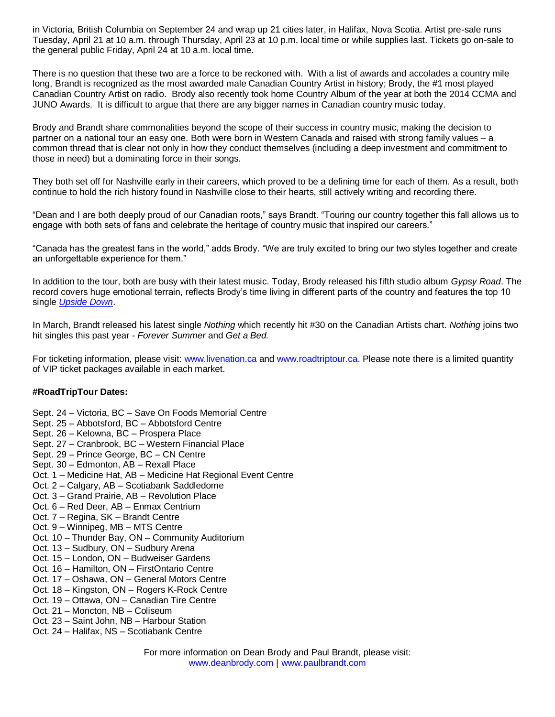in Victoria, British Columbia on September 24 and wrap up 21 cities later, in Halifax, Nova Scotia. Artist pre-sale runs Tuesday, April 21 at 10 a.m. through Thursday, April 23 at 10 p.m. local time or while supplies last. Tickets go on-sale to the general public Friday, April 24 at 10 a.m. local time.

There is no question that these two are a force to be reckoned with. With a list of awards and accolades a country mile long, Brandt is recognized as the most awarded male Canadian Country Artist in history; Brody, the #1 most played Canadian Country Artist on radio. Brody also recently took home Country Album of the year at both the 2014 CCMA and JUNO Awards. It is difficult to argue that there are any bigger names in Canadian country music today.

Brody and Brandt share commonalities beyond the scope of their success in country music, making the decision to partner on a national tour an easy one. Both were born in Western Canada and raised with strong family values – a common thread that is clear not only in how they conduct themselves (including a deep investment and commitment to those in need) but a dominating force in their songs.

They both set off for Nashville early in their careers, which proved to be a defining time for each of them. As a result, both continue to hold the rich history found in Nashville close to their hearts, still actively writing and recording there.

"Dean and I are both deeply proud of our Canadian roots," says Brandt. "Touring our country together this fall allows us to engage with both sets of fans and celebrate the heritage of country music that inspired our careers."

"Canada has the greatest fans in the world," adds Brody. "We are truly excited to bring our two styles together and create an unforgettable experience for them."

In addition to the tour, both are busy with their latest music. Today, Brody released his fifth studio album *Gypsy Road*. The record covers huge emotional terrain, reflects Brody's time living in different parts of the country and features the top 10 single *[Upside Down](https://www.youtube.com/watch?v=DIRCADbsfkg)*.

In March, Brandt released his latest single *Nothing* which recently hit #30 on the Canadian Artists chart. *Nothing* joins two hit singles this past year - *Forever Summer* and *Get a Bed.*

For ticketing information, please visit: [www.livenation.ca](http://www.livenation.ca/) and [www.roadtriptour.ca.](http://www.roadtriptour.ca/) Please note there is a limited quantity of VIP ticket packages available in each market.

## **#RoadTripTour Dates:**

- Sept. 24 Victoria, BC Save On Foods Memorial Centre
- Sept. 25 Abbotsford, BC Abbotsford Centre
- Sept. 26 Kelowna, BC Prospera Place
- Sept. 27 Cranbrook, BC Western Financial Place
- Sept. 29 Prince George, BC CN Centre
- Sept. 30 Edmonton, AB Rexall Place
- Oct. 1 Medicine Hat, AB Medicine Hat Regional Event Centre
- Oct. 2 Calgary, AB Scotiabank Saddledome
- Oct. 3 Grand Prairie, AB Revolution Place
- Oct. 6 Red Deer, AB Enmax Centrium
- Oct. 7 Regina, SK Brandt Centre
- Oct. 9 Winnipeg, MB MTS Centre
- Oct. 10 Thunder Bay, ON Community Auditorium
- Oct. 13 Sudbury, ON Sudbury Arena
- Oct. 15 London, ON Budweiser Gardens
- Oct. 16 Hamilton, ON FirstOntario Centre
- Oct. 17 Oshawa, ON General Motors Centre
- Oct. 18 Kingston, ON Rogers K-Rock Centre
- Oct. 19 Ottawa, ON Canadian Tire Centre
- Oct. 21 Moncton, NB Coliseum
- Oct. 23 Saint John, NB Harbour Station
- Oct. 24 Halifax, NS Scotiabank Centre

For more information on Dean Brody and Paul Brandt, please visit: [www.deanbrody.com](http://www.deanbrody.com/) | [www.paulbrandt.com](http://www.paulbrandt.com/)